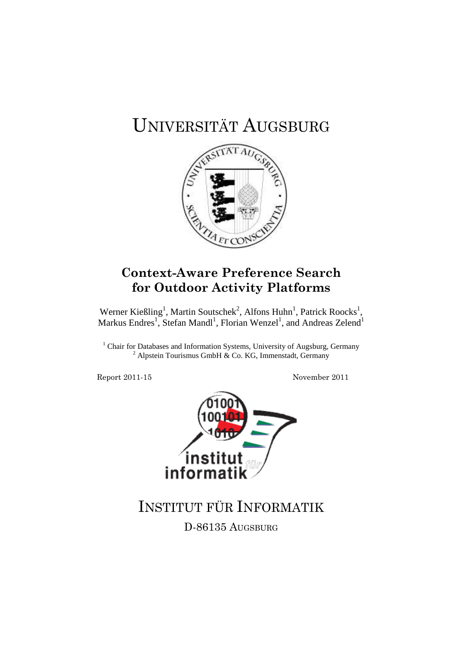# UNIVERSITÄT AUGSBURG



## **Context-Aware Preference Search for Outdoor Activity Platforms**

Werner Kießling<sup>1</sup>, Martin Soutschek<sup>2</sup>, Alfons Huhn<sup>1</sup>, Patrick Roocks<sup>1</sup>, Markus Endres<sup>1</sup>, Stefan Mandl<sup>1</sup>, Florian Wenzel<sup>1</sup>, and Andreas Zelend<sup>1</sup>

<sup>1</sup> Chair for Databases and Information Systems, University of Augsburg, Germany <sup>2</sup> Alpstein Tourismus GmbH & Co. KG, Immenstadt, Germany

Report 2011-15 November 2011



## INSTITUT FÜR INFORMATIK

D-86135 AUGSBURG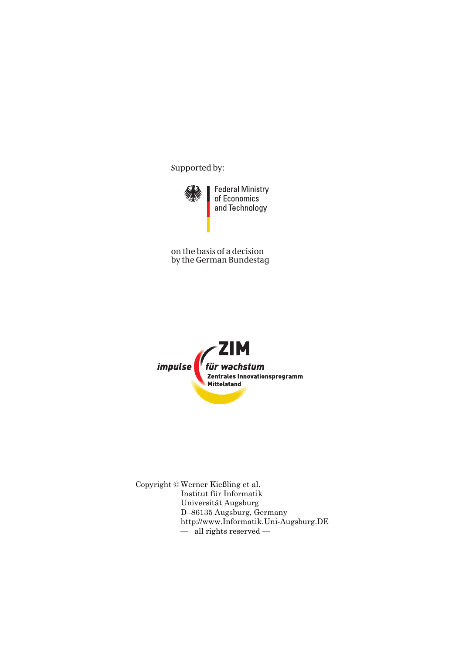Supported by:



on the basis of a decision by the German Bundestag



Copyright © Werner Kießling et al. Institut für Informatik Universität Augsburg D–86135 Augsburg, Germany http://www.Informatik.Uni-Augsburg.DE — all rights reserved —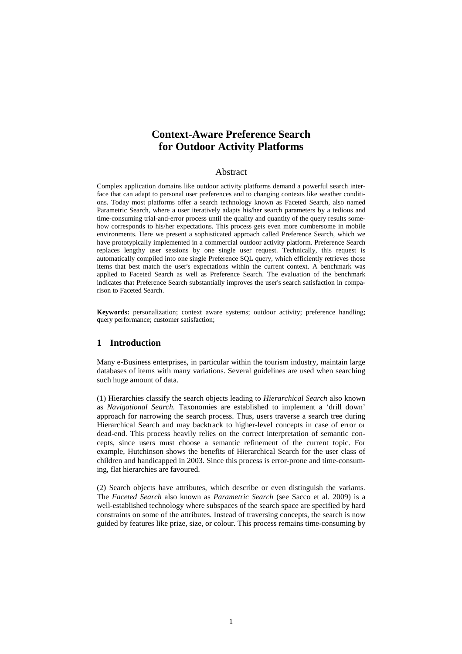## **Context-Aware Preference Search for Outdoor Activity Platforms**

## Abstract

Complex application domains like outdoor activity platforms demand a powerful search interface that can adapt to personal user preferences and to changing contexts like weather conditions. Today most platforms offer a search technology known as Faceted Search, also named Parametric Search, where a user iteratively adapts his/her search parameters by a tedious and time-consuming trial-and-error process until the quality and quantity of the query results somehow corresponds to his/her expectations. This process gets even more cumbersome in mobile environments. Here we present a sophisticated approach called Preference Search, which we have prototypically implemented in a commercial outdoor activity platform. Preference Search replaces lengthy user sessions by one single user request. Technically, this request is automatically compiled into one single Preference SQL query, which efficiently retrieves those items that best match the user's expectations within the current context. A benchmark was applied to Faceted Search as well as Preference Search. The evaluation of the benchmark indicates that Preference Search substantially improves the user's search satisfaction in comparison to Faceted Search.

**Keywords:** personalization; context aware systems; outdoor activity; preference handling; query performance; customer satisfaction;

## **1 Introduction**

Many e-Business enterprises, in particular within the tourism industry, maintain large databases of items with many variations. Several guidelines are used when searching such huge amount of data.

(1) Hierarchies classify the search objects leading to *Hierarchical Search* also known as *Navigational Search*. Taxonomies are established to implement a 'drill down' approach for narrowing the search process. Thus, users traverse a search tree during Hierarchical Search and may backtrack to higher-level concepts in case of error or dead-end. This process heavily relies on the correct interpretation of semantic concepts, since users must choose a semantic refinement of the current topic. For example, Hutchinson shows the benefits of Hierarchical Search for the user class of children and handicapped in 2003. Since this process is error-prone and time-consuming, flat hierarchies are favoured.

(2) Search objects have attributes, which describe or even distinguish the variants. The *Faceted Search* also known as *Parametric Search* (see Sacco et al. 2009) is a well-established technology where subspaces of the search space are specified by hard constraints on some of the attributes. Instead of traversing concepts, the search is now guided by features like prize, size, or colour. This process remains time-consuming by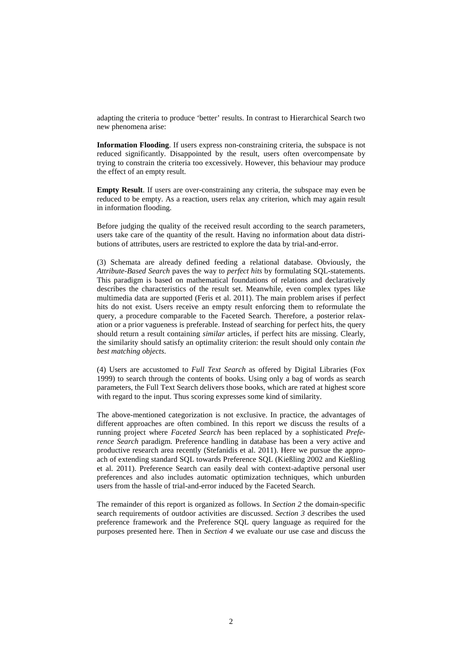adapting the criteria to produce 'better' results. In contrast to Hierarchical Search two new phenomena arise:

**Information Flooding**. If users express non-constraining criteria, the subspace is not reduced significantly. Disappointed by the result, users often overcompensate by trying to constrain the criteria too excessively. However, this behaviour may produce the effect of an empty result.

**Empty Result**. If users are over-constraining any criteria, the subspace may even be reduced to be empty. As a reaction, users relax any criterion, which may again result in information flooding.

Before judging the quality of the received result according to the search parameters, users take care of the quantity of the result. Having no information about data distributions of attributes, users are restricted to explore the data by trial-and-error.

(3) Schemata are already defined feeding a relational database. Obviously, the *Attribute-Based Search* paves the way to *perfect hits* by formulating SQL-statements. This paradigm is based on mathematical foundations of relations and declaratively describes the characteristics of the result set. Meanwhile, even complex types like multimedia data are supported (Feris et al. 2011). The main problem arises if perfect hits do not exist. Users receive an empty result enforcing them to reformulate the query, a procedure comparable to the Faceted Search. Therefore, a posterior relaxation or a prior vagueness is preferable. Instead of searching for perfect hits, the query should return a result containing *similar* articles, if perfect hits are missing. Clearly, the similarity should satisfy an optimality criterion: the result should only contain *the best matching objects*.

(4) Users are accustomed to *Full Text Search* as offered by Digital Libraries (Fox 1999) to search through the contents of books. Using only a bag of words as search parameters, the Full Text Search delivers those books, which are rated at highest score with regard to the input. Thus scoring expresses some kind of similarity.

The above-mentioned categorization is not exclusive. In practice, the advantages of different approaches are often combined. In this report we discuss the results of a running project where *Faceted Search* has been replaced by a sophisticated *Preference Search* paradigm. Preference handling in database has been a very active and productive research area recently (Stefanidis et al. 2011). Here we pursue the approach of extending standard SQL towards Preference SQL (Kießling 2002 and Kießling et al. 2011). Preference Search can easily deal with context-adaptive personal user preferences and also includes automatic optimization techniques, which unburden users from the hassle of trial-and-error induced by the Faceted Search.

The remainder of this report is organized as follows. In *Section 2* the domain-specific search requirements of outdoor activities are discussed. *Section 3* describes the used preference framework and the Preference SQL query language as required for the purposes presented here. Then in *Section 4* we evaluate our use case and discuss the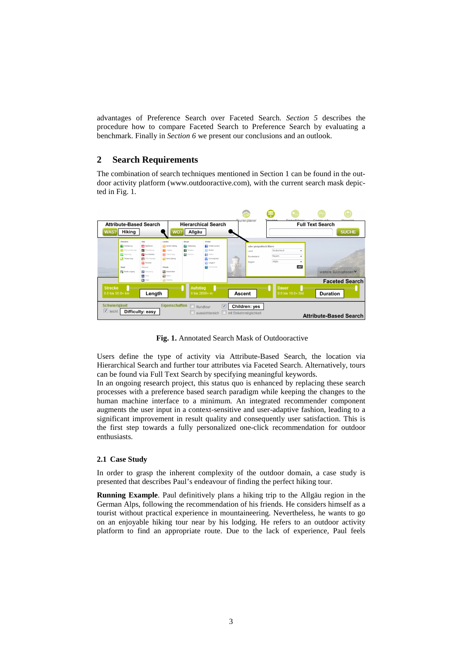advantages of Preference Search over Faceted Search. *Section 5* describes the procedure how to compare Faceted Search to Preference Search by evaluating a benchmark. Finally in *Section 6* we present our conclusions and an outlook.

## **2 Search Requirements**

The combination of search techniques mentioned in Section 1 can be found in the outdoor activity platform (www.outdooractive.com), with the current search mask depicted in Fig. 1.

|                                                                                                                                                                                                                                                                                                                                 |                                                                                                                                                                                                                                                                                                                               | Daine fillene<br>Tourar                                                                                                            | <b>Magazi</b>                                |
|---------------------------------------------------------------------------------------------------------------------------------------------------------------------------------------------------------------------------------------------------------------------------------------------------------------------------------|-------------------------------------------------------------------------------------------------------------------------------------------------------------------------------------------------------------------------------------------------------------------------------------------------------------------------------|------------------------------------------------------------------------------------------------------------------------------------|----------------------------------------------|
| <b>Attribute-Based Search</b>                                                                                                                                                                                                                                                                                                   | <b>Hierarchical Search</b>                                                                                                                                                                                                                                                                                                    | Tourenplaner                                                                                                                       | <b>Full Text Search</b>                      |
| WAS?<br><b>Hiking</b>                                                                                                                                                                                                                                                                                                           | WO?<br>Allgäu                                                                                                                                                                                                                                                                                                                 |                                                                                                                                    | <b>SUCHE</b>                                 |
| Rad<br>Wandern<br>Lauten<br><b>Radfahren</b><br>Wanderung<br>Ferrodweg<br><b>Ea</b> Jegging<br>Fernus nderweg<br><b>Co</b> Pigerweg<br>Mountainblue<br><b>Themerweg</b><br>MTB-Transalp<br><b>COL</b> Renarad<br>Stadt<br>Pferde<br>Wasser<br><b>FE</b> Stadfrundgang<br>EX Caryening<br><b>No</b> Reten<br>alan<br><b>Kans</b> | Winter<br>Beroe<br><b>E'M</b> Nordic Walking<br><b>BJ</b> Winterwandern<br><b>Contenting</b><br><b>STE</b> Bergtour<br><b>[33] Rodeln</b><br><b>ES</b> Trainuncing<br>图 Hochtour<br><b>新</b> Sabour<br>In Inte-Sketing<br><b>FEI</b> Schneaschab<br><b>EST Lensinsf</b><br>$\overline{\sigma}$<br>Ski-Freeride<br>Kutschfahrt | oder geografisch filtern<br>Deutschland<br>Land<br>Bayern<br><b>Bundesland</b><br>Ŵ,<br>Alloãu<br>Region<br>$\mathbb{Z}$<br>(1888) | ۰<br>٠<br>٠<br>ok!<br>weitere Suchoptionen ♥ |
| <b>Call Skipring</b><br><b>EX Keps</b><br><b>Strecke</b><br>Length<br>$0.0$ bis $50.0+$ km                                                                                                                                                                                                                                      | <b>Aufstieg</b><br>0 bis $2000 + m$                                                                                                                                                                                                                                                                                           | <b>Dauer</b><br>Ascent<br>0.0 bis 10.0+ Std.                                                                                       | <b>Faceted Search</b><br><b>Duration</b>     |
| <b>Schwierigkeit</b><br>V<br>leicht<br>Difficulty: easy                                                                                                                                                                                                                                                                         | Eigenschaften<br>$\overline{\mathsf{v}}$<br>Rundtour<br>aussichtsreich                                                                                                                                                                                                                                                        | Children: yes<br>mit Einkehrmöglichkeit                                                                                            | <b>Attribute-Based Search</b>                |

 **Fig. 1.** Annotated Search Mask of Outdooractive

Users define the type of activity via Attribute-Based Search, the location via Hierarchical Search and further tour attributes via Faceted Search. Alternatively, tours can be found via Full Text Search by specifying meaningful keywords.

In an ongoing research project, this status quo is enhanced by replacing these search processes with a preference based search paradigm while keeping the changes to the human machine interface to a minimum. An integrated recommender component augments the user input in a context-sensitive and user-adaptive fashion, leading to a significant improvement in result quality and consequently user satisfaction. This is the first step towards a fully personalized one-click recommendation for outdoor enthusiasts.

## **2.1 Case Study**

In order to grasp the inherent complexity of the outdoor domain, a case study is presented that describes Paul's endeavour of finding the perfect hiking tour.

**Running Example**. Paul definitively plans a hiking trip to the Allgäu region in the German Alps, following the recommendation of his friends. He considers himself as a tourist without practical experience in mountaineering. Nevertheless, he wants to go on an enjoyable hiking tour near by his lodging. He refers to an outdoor activity platform to find an appropriate route. Due to the lack of experience, Paul feels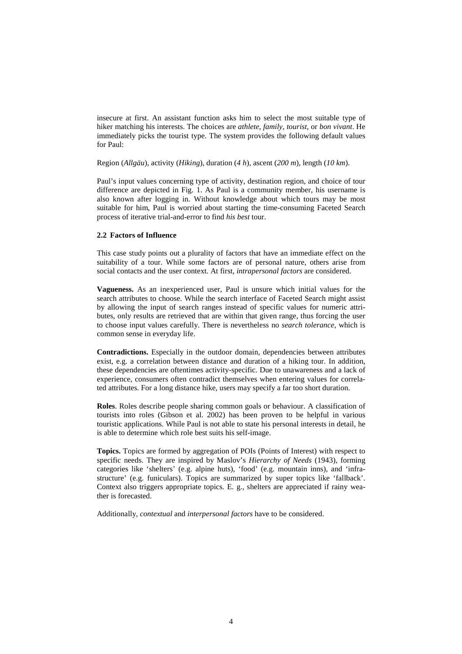insecure at first. An assistant function asks him to select the most suitable type of hiker matching his interests. The choices are *athlete*, *family*, *tourist*, or *bon vivant*. He immediately picks the tourist type. The system provides the following default values for Paul:

Region (*Allgäu*), activity (*Hiking*), duration (*4 h*), ascent (*200 m*), length (*10 km*).

Paul's input values concerning type of activity, destination region, and choice of tour difference are depicted in Fig. 1. As Paul is a community member, his username is also known after logging in. Without knowledge about which tours may be most suitable for him, Paul is worried about starting the time-consuming Faceted Search process of iterative trial-and-error to find *his best* tour.

#### **2.2 Factors of Influence**

This case study points out a plurality of factors that have an immediate effect on the suitability of a tour. While some factors are of personal nature, others arise from social contacts and the user context. At first, *intrapersonal factors* are considered.

**Vagueness.** As an inexperienced user, Paul is unsure which initial values for the search attributes to choose. While the search interface of Faceted Search might assist by allowing the input of search ranges instead of specific values for numeric attributes, only results are retrieved that are within that given range, thus forcing the user to choose input values carefully. There is nevertheless no *search tolerance*, which is common sense in everyday life.

**Contradictions.** Especially in the outdoor domain, dependencies between attributes exist, e.g. a correlation between distance and duration of a hiking tour. In addition, these dependencies are oftentimes activity-specific. Due to unawareness and a lack of experience, consumers often contradict themselves when entering values for correlated attributes. For a long distance hike, users may specify a far too short duration.

**Roles**. Roles describe people sharing common goals or behaviour. A classification of tourists into roles (Gibson et al. 2002) has been proven to be helpful in various touristic applications. While Paul is not able to state his personal interests in detail, he is able to determine which role best suits his self-image.

**Topics.** Topics are formed by aggregation of POIs (Points of Interest) with respect to specific needs. They are inspired by Maslov's *Hierarchy of Needs* (1943), forming categories like 'shelters' (e.g. alpine huts), 'food' (e.g. mountain inns), and 'infrastructure' (e.g. funiculars). Topics are summarized by super topics like 'fallback'. Context also triggers appropriate topics. E. g., shelters are appreciated if rainy weather is forecasted.

Additionally, *contextual* and *interpersonal factors* have to be considered.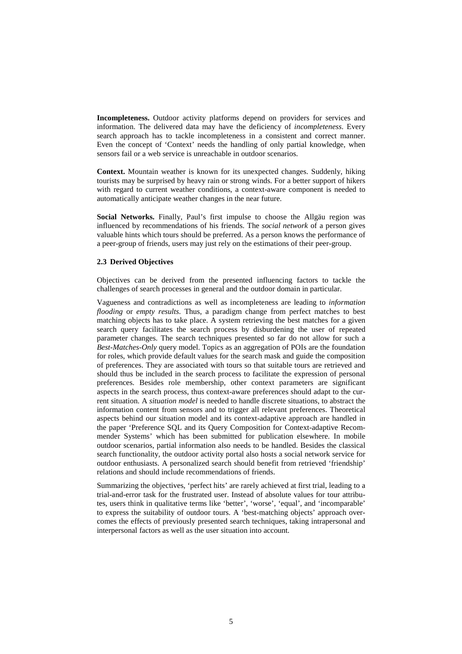**Incompleteness.** Outdoor activity platforms depend on providers for services and information. The delivered data may have the deficiency of *incompleteness*. Every search approach has to tackle incompleteness in a consistent and correct manner. Even the concept of 'Context' needs the handling of only partial knowledge, when sensors fail or a web service is unreachable in outdoor scenarios.

**Context.** Mountain weather is known for its unexpected changes. Suddenly, hiking tourists may be surprised by heavy rain or strong winds. For a better support of hikers with regard to current weather conditions, a context-aware component is needed to automatically anticipate weather changes in the near future.

**Social Networks.** Finally, Paul's first impulse to choose the Allgäu region was influenced by recommendations of his friends. The *social network* of a person gives valuable hints which tours should be preferred. As a person knows the performance of a peer-group of friends, users may just rely on the estimations of their peer-group.

## **2.3 Derived Objectives**

Objectives can be derived from the presented influencing factors to tackle the challenges of search processes in general and the outdoor domain in particular.

Vagueness and contradictions as well as incompleteness are leading to *information flooding* or *empty results*. Thus, a paradigm change from perfect matches to best matching objects has to take place. A system retrieving the best matches for a given search query facilitates the search process by disburdening the user of repeated parameter changes. The search techniques presented so far do not allow for such a *Best-Matches-Only* query model. Topics as an aggregation of POIs are the foundation for roles, which provide default values for the search mask and guide the composition of preferences. They are associated with tours so that suitable tours are retrieved and should thus be included in the search process to facilitate the expression of personal preferences. Besides role membership, other context parameters are significant aspects in the search process, thus context-aware preferences should adapt to the current situation. A *situation model* is needed to handle discrete situations, to abstract the information content from sensors and to trigger all relevant preferences. Theoretical aspects behind our situation model and its context-adaptive approach are handled in the paper 'Preference SQL and its Query Composition for Context-adaptive Recommender Systems' which has been submitted for publication elsewhere. In mobile outdoor scenarios, partial information also needs to be handled. Besides the classical search functionality, the outdoor activity portal also hosts a social network service for outdoor enthusiasts. A personalized search should benefit from retrieved 'friendship' relations and should include recommendations of friends.

Summarizing the objectives, 'perfect hits' are rarely achieved at first trial, leading to a trial-and-error task for the frustrated user. Instead of absolute values for tour attributes, users think in qualitative terms like 'better', 'worse', 'equal', and 'incomparable' to express the suitability of outdoor tours. A 'best-matching objects' approach overcomes the effects of previously presented search techniques, taking intrapersonal and interpersonal factors as well as the user situation into account.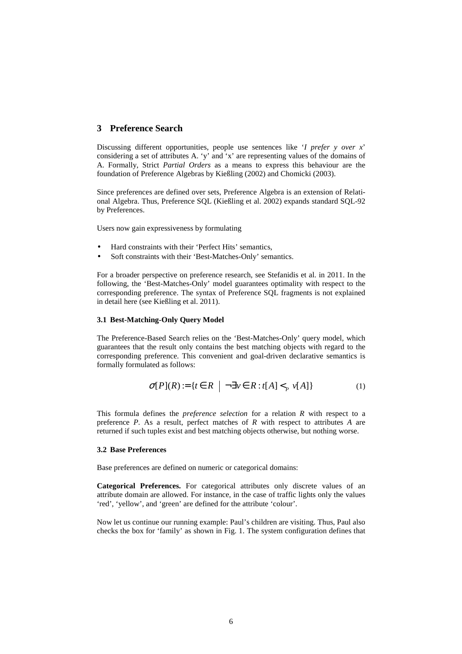## **3 Preference Search**

Discussing different opportunities, people use sentences like '*I prefer y over x*' considering a set of attributes A. 'y' and 'x' are representing values of the domains of A. Formally, Strict *Partial Orders* as a means to express this behaviour are the foundation of Preference Algebras by Kießling (2002) and Chomicki (2003).

Since preferences are defined over sets, Preference Algebra is an extension of Relational Algebra. Thus, Preference SQL (Kießling et al. 2002) expands standard SQL-92 by Preferences.

Users now gain expressiveness by formulating

- Hard constraints with their 'Perfect Hits' semantics,
- Soft constraints with their 'Best-Matches-Only' semantics.

For a broader perspective on preference research, see Stefanidis et al. in 2011. In the following, the 'Best-Matches-Only' model guarantees optimality with respect to the corresponding preference. The syntax of Preference SQL fragments is not explained in detail here (see Kießling et al. 2011).

#### **3.1 Best-Matching-Only Query Model**

The Preference-Based Search relies on the 'Best-Matches-Only' query model, which guarantees that the result only contains the best matching objects with regard to the corresponding preference. This convenient and goal-driven declarative semantics is formally formulated as follows:

$$
\sigma[P](R) := \{ t \in R \mid \neg \exists v \in R : t[A] <_{P} v[A] \} \tag{1}
$$

This formula defines the *preference selection* for a relation *R* with respect to a preference *P*. As a result, perfect matches of *R* with respect to attributes *A* are returned if such tuples exist and best matching objects otherwise, but nothing worse.

#### **3.2 Base Preferences**

Base preferences are defined on numeric or categorical domains:

**Categorical Preferences.** For categorical attributes only discrete values of an attribute domain are allowed. For instance, in the case of traffic lights only the values 'red', 'yellow', and 'green' are defined for the attribute 'colour'.

Now let us continue our running example: Paul's children are visiting. Thus, Paul also checks the box for 'family' as shown in Fig. 1. The system configuration defines that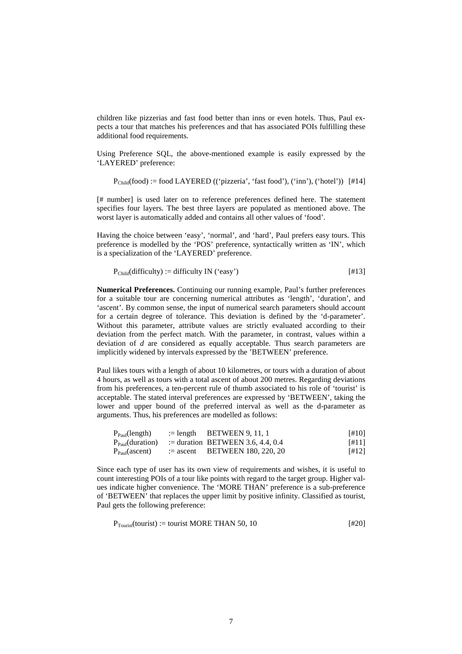children like pizzerias and fast food better than inns or even hotels. Thus, Paul expects a tour that matches his preferences and that has associated POIs fulfilling these additional food requirements.

Using Preference SQL, the above-mentioned example is easily expressed by the 'LAYERED' preference:

 $P_{\text{Child}}(\text{food}) := \text{food LAYERED}$  (('pizzeria', 'fast food'), ('inn'), ('hotel')) [#14]

[# number] is used later on to reference preferences defined here. The statement specifies four layers. The best three layers are populated as mentioned above. The worst layer is automatically added and contains all other values of 'food'.

Having the choice between 'easy', 'normal', and 'hard', Paul prefers easy tours. This preference is modelled by the 'POS' preference, syntactically written as 'IN', which is a specialization of the 'LAYERED' preference.

$$
P_{\text{Child}}(\text{difficulty}) := \text{difficulty IN } (\text{`easy'})
$$
 [#13]

**Numerical Preferences.** Continuing our running example, Paul's further preferences for a suitable tour are concerning numerical attributes as 'length', 'duration', and 'ascent'. By common sense, the input of numerical search parameters should account for a certain degree of tolerance. This deviation is defined by the 'd-parameter'. Without this parameter, attribute values are strictly evaluated according to their deviation from the perfect match. With the parameter, in contrast, values within a deviation of *d* are considered as equally acceptable. Thus search parameters are implicitly widened by intervals expressed by the 'BETWEEN' preference.

Paul likes tours with a length of about 10 kilometres, or tours with a duration of about 4 hours, as well as tours with a total ascent of about 200 metres. Regarding deviations from his preferences, a ten-percent rule of thumb associated to his role of 'tourist' is acceptable. The stated interval preferences are expressed by 'BETWEEN', taking the lower and upper bound of the preferred interval as well as the d-parameter as arguments. Thus, his preferences are modelled as follows:

| $P_{Paul}$ (length) | $:=$ length BETWEEN 9, 11, 1                            | [#10]   |
|---------------------|---------------------------------------------------------|---------|
|                     | $P_{Paul} (duration)$ := duration BETWEEN 3.6, 4.4, 0.4 | [#11]   |
| $P_{Paul}$ (ascent) | $\epsilon$ = ascent BETWEEN 180, 220, 20                | $[412]$ |

Since each type of user has its own view of requirements and wishes, it is useful to count interesting POIs of a tour like points with regard to the target group. Higher values indicate higher convenience. The 'MORE THAN' preference is a sub-preference of 'BETWEEN' that replaces the upper limit by positive infinity. Classified as tourist, Paul gets the following preference:

$$
P_{Tourist}(tourist) := tourist MORE THAN 50, 10
$$
 [#20]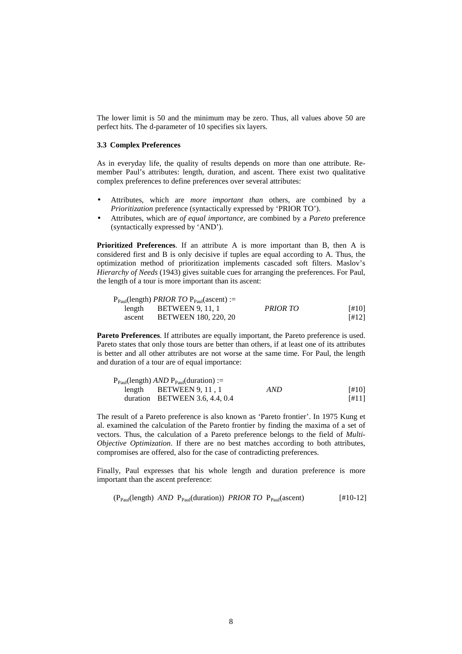The lower limit is 50 and the minimum may be zero. Thus, all values above 50 are perfect hits. The d-parameter of 10 specifies six layers.

### **3.3 Complex Preferences**

As in everyday life, the quality of results depends on more than one attribute. Remember Paul's attributes: length, duration, and ascent. There exist two qualitative complex preferences to define preferences over several attributes:

- Attributes, which are *more important than* others, are combined by a *Prioritization* preference (syntactically expressed by 'PRIOR TO').
- Attributes, which are *of equal importance*, are combined by a *Pareto* preference (syntactically expressed by 'AND').

**Prioritized Preferences**. If an attribute A is more important than B, then A is considered first and B is only decisive if tuples are equal according to A. Thus, the optimization method of prioritization implements cascaded soft filters. Maslov's *Hierarchy of Needs* (1943) gives suitable cues for arranging the preferences. For Paul, the length of a tour is more important than its ascent:

|        | $P_{Paul}$ (length) <i>PRIOR TO</i> $P_{Paul}$ (ascent) := |          |       |
|--------|------------------------------------------------------------|----------|-------|
| length | <b>BETWEEN 9.11.1</b>                                      | PRIOR TO | [#10] |
| ascent | <b>BETWEEN 180, 220, 20</b>                                |          | [#12] |

**Pareto Preferences**. If attributes are equally important, the Pareto preference is used. Pareto states that only those tours are better than others, if at least one of its attributes is better and all other attributes are not worse at the same time. For Paul, the length and duration of a tour are of equal importance:

| $P_{Paul}$ (length) <i>AND</i> $P_{Paul}$ (duration) := |     |       |
|---------------------------------------------------------|-----|-------|
| length BETWEEN $9, 11, 1$                               | AND | [#10] |
| duration BETWEEN 3.6, 4.4, $0.4$                        |     | [#11] |

The result of a Pareto preference is also known as 'Pareto frontier'. In 1975 Kung et al. examined the calculation of the Pareto frontier by finding the maxima of a set of vectors. Thus, the calculation of a Pareto preference belongs to the field of *Multi-Objective Optimization*. If there are no best matches according to both attributes, compromises are offered, also for the case of contradicting preferences.

Finally, Paul expresses that his whole length and duration preference is more important than the ascent preference:

 $(P_{Paul}(\text{length}) \text{ AND } P_{Paul}(\text{duration})) \text{ PRIOR TO } P_{Paul}(\text{assert})$  [#10-12]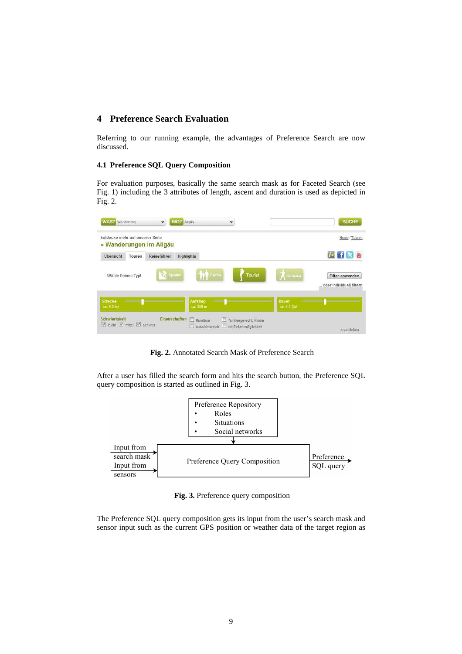## **4 Preference Search Evaluation**

Referring to our running example, the advantages of Preference Search are now discussed.

## **4.1 Preference SQL Query Composition**

For evaluation purposes, basically the same search mask as for Faceted Search (see Fig. 1) including the 3 attributes of length, ascent and duration is used as depicted in Fig. 2.



 **Fig. 2.** Annotated Search Mask of Preference Search

After a user has filled the search form and hits the search button, the Preference SQL query composition is started as outlined in Fig. 3.



 **Fig. 3.** Preference query composition

The Preference SQL query composition gets its input from the user's search mask and sensor input such as the current GPS position or weather data of the target region as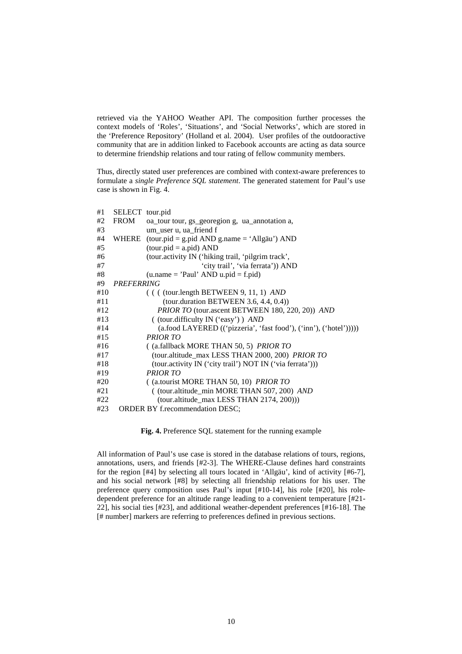retrieved via the YAHOO Weather API. The composition further processes the context models of 'Roles', 'Situations', and 'Social Networks', which are stored in the 'Preference Repository' (Holland et al. 2004). User profiles of the outdooractive community that are in addition linked to Facebook accounts are acting as data source to determine friendship relations and tour rating of fellow community members.

Thus, directly stated user preferences are combined with context-aware preferences to formulate a *single Preference SQL statement*. The generated statement for Paul's use case is shown in Fig. 4.

| #1  | SELECT tour.pid |                                                                    |
|-----|-----------------|--------------------------------------------------------------------|
| #2  | FROM            | oa_tour tour, gs_georegion g, ua_annotation a,                     |
| #3  |                 | um_user u, ua_friend f                                             |
| #4  | WHERE           | $(tour.pid = g.pid AND g.name = 'Allgäu') AND$                     |
| #5  |                 | $(tour.pid = a.pid) AND$                                           |
| #6  |                 | (tour.activity IN ('hiking trail, 'pilgrim track',                 |
| #7  |                 | 'city trail', 'via ferrata')) AND                                  |
| #8  |                 | $(u.name = 'Paul' AND u.pid = f.pid)$                              |
| #9  | PREFERRING      |                                                                    |
| #10 |                 | $($ ( $($ (tour.length BETWEEN 9, 11, 1) AND                       |
| #11 |                 | $(tour.duration BETWEEN 3.6, 4.4, 0.4))$                           |
| #12 |                 | PRIOR TO (tour.ascent BETWEEN 180, 220, 20)) AND                   |
| #13 |                 | ((tour.difficulty IN ('easy')) AND                                 |
| #14 |                 | (a.food LAYERED (('pizzeria', 'fast food'), ('inn'), ('hotel'))))) |
| #15 |                 | <b>PRIOR TO</b>                                                    |
| #16 |                 | $($ (a.fallback MORE THAN 50, 5) <i>PRIOR TO</i>                   |
| #17 |                 | (tour.altitude_max LESS THAN 2000, 200) PRIOR TO                   |
| #18 |                 | (tour.activity IN ('city trail') NOT IN ('via ferrata')))          |
| #19 |                 | <b>PRIOR TO</b>                                                    |
| #20 |                 | ((a.tourist MORE THAN 50, 10) PRIOR TO                             |
| #21 |                 | ((tour.altitude_min MORE THAN 507, 200) AND                        |
| #22 |                 | $(tour. altitude_max LESS THAN 2174, 200))$                        |
| #23 |                 | <b>ORDER BY f.recommendation DESC;</b>                             |

**Fig. 4.** Preference SQL statement for the running example

All information of Paul's use case is stored in the database relations of tours, regions, annotations, users, and friends [#2-3]. The WHERE-Clause defines hard constraints for the region [#4] by selecting all tours located in 'Allgäu', kind of activity [#6-7], and his social network [#8] by selecting all friendship relations for his user. The preference query composition uses Paul's input [#10-14], his role [#20], his roledependent preference for an altitude range leading to a convenient temperature [#21- 22], his social ties [#23], and additional weather-dependent preferences [#16-18]. The [# number] markers are referring to preferences defined in previous sections.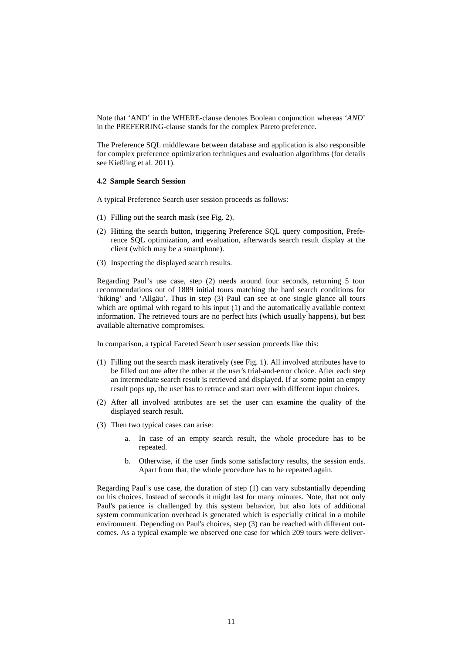Note that 'AND' in the WHERE-clause denotes Boolean conjunction whereas '*AND*' in the PREFERRING-clause stands for the complex Pareto preference.

The Preference SQL middleware between database and application is also responsible for complex preference optimization techniques and evaluation algorithms (for details see Kießling et al. 2011).

## **4.2 Sample Search Session**

A typical Preference Search user session proceeds as follows:

- (1) Filling out the search mask (see Fig. 2).
- (2) Hitting the search button, triggering Preference SQL query composition, Preference SQL optimization, and evaluation, afterwards search result display at the client (which may be a smartphone).
- (3) Inspecting the displayed search results.

Regarding Paul's use case, step (2) needs around four seconds, returning 5 tour recommendations out of 1889 initial tours matching the hard search conditions for 'hiking' and 'Allgäu'. Thus in step (3) Paul can see at one single glance all tours which are optimal with regard to his input (1) and the automatically available context information. The retrieved tours are no perfect hits (which usually happens), but best available alternative compromises.

In comparison, a typical Faceted Search user session proceeds like this:

- (1) Filling out the search mask iteratively (see Fig. 1). All involved attributes have to be filled out one after the other at the user's trial-and-error choice. After each step an intermediate search result is retrieved and displayed. If at some point an empty result pops up, the user has to retrace and start over with different input choices.
- (2) After all involved attributes are set the user can examine the quality of the displayed search result.
- (3) Then two typical cases can arise:
	- a. In case of an empty search result, the whole procedure has to be repeated.
	- b. Otherwise, if the user finds some satisfactory results, the session ends. Apart from that, the whole procedure has to be repeated again.

Regarding Paul's use case, the duration of step (1) can vary substantially depending on his choices. Instead of seconds it might last for many minutes. Note, that not only Paul's patience is challenged by this system behavior, but also lots of additional system communication overhead is generated which is especially critical in a mobile environment. Depending on Paul's choices, step (3) can be reached with different outcomes. As a typical example we observed one case for which 209 tours were deliver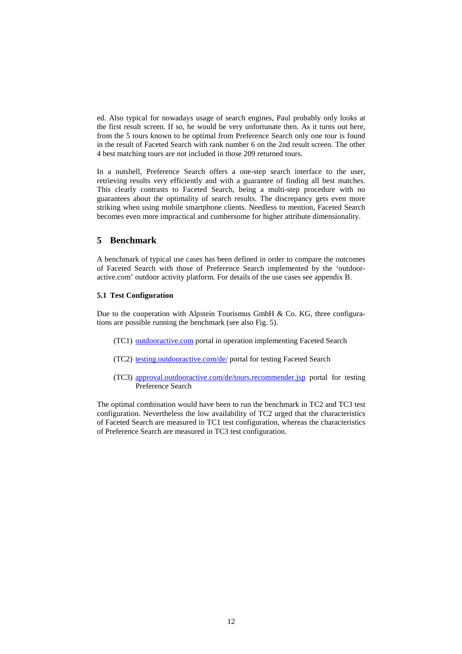ed. Also typical for nowadays usage of search engines, Paul probably only looks at the first result screen. If so, he would be very unfortunate then. As it turns out here, from the 5 tours known to be optimal from Preference Search only one tour is found in the result of Faceted Search with rank number 6 on the 2nd result screen. The other 4 best matching tours are not included in those 209 returned tours.

In a nutshell, Preference Search offers a one-step search interface to the user, retrieving results very efficiently and with a guarantee of finding all best matches. This clearly contrasts to Faceted Search, being a multi-step procedure with no guarantees about the optimality of search results. The discrepancy gets even more striking when using mobile smartphone clients. Needless to mention, Faceted Search becomes even more impractical and cumbersome for higher attribute dimensionality.

## **5 Benchmark**

A benchmark of typical use cases has been defined in order to compare the outcomes of Faceted Search with those of Preference Search implemented by the 'outdooractive.com' outdoor activity platform. For details of the use cases see appendix B.

#### **5.1 Test Configuration**

Due to the cooperation with Alpstein Tourismus GmbH  $\&$  Co. KG, three configurations are possible running the benchmark (see also Fig. 5).

- (TC1) outdooractive.com portal in operation implementing Faceted Search
- (TC2) testing.outdooractive.com/de/ portal for testing Faceted Search
- (TC3) approval.outdooractive.com/de/tours.recommender.jsp portal for testing Preference Search

The optimal combination would have been to run the benchmark in TC2 and TC3 test configuration. Nevertheless the low availability of TC2 urged that the characteristics of Faceted Search are measured in TC1 test configuration, whereas the characteristics of Preference Search are measured in TC3 test configuration.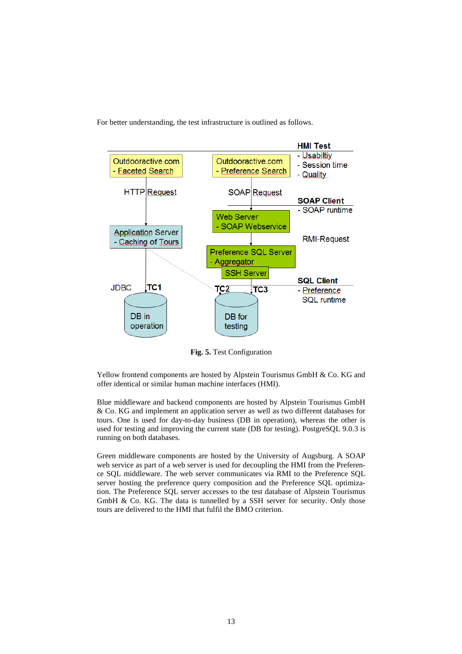For better understanding, the test infrastructure is outlined as follows.



**Fig. 5.** Test Configuration

Yellow frontend components are hosted by Alpstein Tourismus GmbH & Co. KG and offer identical or similar human machine interfaces (HMI).

Blue middleware and backend components are hosted by Alpstein Tourismus GmbH & Co. KG and implement an application server as well as two different databases for tours. One is used for day-to-day business (DB in operation), whereas the other is used for testing and improving the current state (DB for testing). PostgreSQL 9.0.3 is running on both databases.

Green middleware components are hosted by the University of Augsburg. A SOAP web service as part of a web server is used for decoupling the HMI from the Preference SQL middleware. The web server communicates via RMI to the Preference SQL server hosting the preference query composition and the Preference SQL optimization. The Preference SQL server accesses to the test database of Alpstein Tourismus GmbH & Co. KG. The data is tunnelled by a SSH server for security. Only those tours are delivered to the HMI that fulfil the BMO criterion.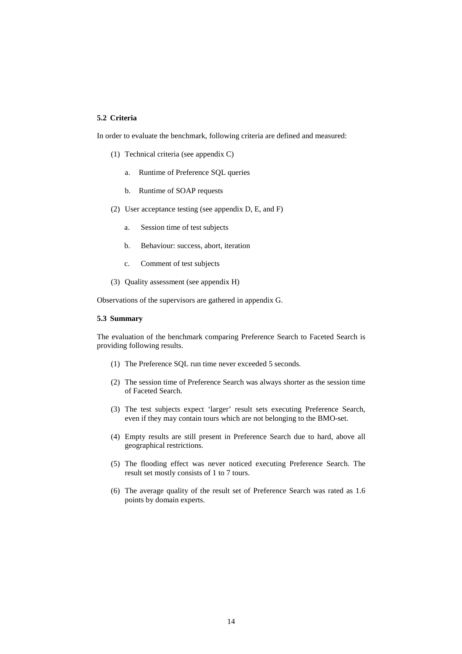## **5.2 Criteria**

In order to evaluate the benchmark, following criteria are defined and measured:

- (1) Technical criteria (see appendix C)
	- a. Runtime of Preference SQL queries
	- b. Runtime of SOAP requests
- (2) User acceptance testing (see appendix D, E, and F)
	- a. Session time of test subjects
	- b. Behaviour: success, abort, iteration
	- c. Comment of test subjects
- (3) Quality assessment (see appendix H)

Observations of the supervisors are gathered in appendix G.

### **5.3 Summary**

The evaluation of the benchmark comparing Preference Search to Faceted Search is providing following results.

- (1) The Preference SQL run time never exceeded 5 seconds.
- (2) The session time of Preference Search was always shorter as the session time of Faceted Search.
- (3) The test subjects expect 'larger' result sets executing Preference Search, even if they may contain tours which are not belonging to the BMO-set.
- (4) Empty results are still present in Preference Search due to hard, above all geographical restrictions.
- (5) The flooding effect was never noticed executing Preference Search. The result set mostly consists of 1 to 7 tours.
- (6) The average quality of the result set of Preference Search was rated as 1.6 points by domain experts.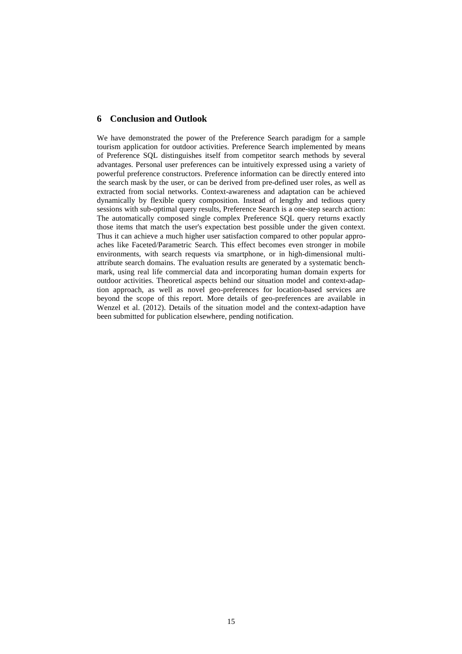## **6 Conclusion and Outlook**

We have demonstrated the power of the Preference Search paradigm for a sample tourism application for outdoor activities. Preference Search implemented by means of Preference SQL distinguishes itself from competitor search methods by several advantages. Personal user preferences can be intuitively expressed using a variety of powerful preference constructors. Preference information can be directly entered into the search mask by the user, or can be derived from pre-defined user roles, as well as extracted from social networks. Context-awareness and adaptation can be achieved dynamically by flexible query composition. Instead of lengthy and tedious query sessions with sub-optimal query results, Preference Search is a one-step search action: The automatically composed single complex Preference SQL query returns exactly those items that match the user's expectation best possible under the given context. Thus it can achieve a much higher user satisfaction compared to other popular approaches like Faceted/Parametric Search. This effect becomes even stronger in mobile environments, with search requests via smartphone, or in high-dimensional multiattribute search domains. The evaluation results are generated by a systematic benchmark, using real life commercial data and incorporating human domain experts for outdoor activities. Theoretical aspects behind our situation model and context-adaption approach, as well as novel geo-preferences for location-based services are beyond the scope of this report. More details of geo-preferences are available in Wenzel et al. (2012). Details of the situation model and the context-adaption have been submitted for publication elsewhere, pending notification.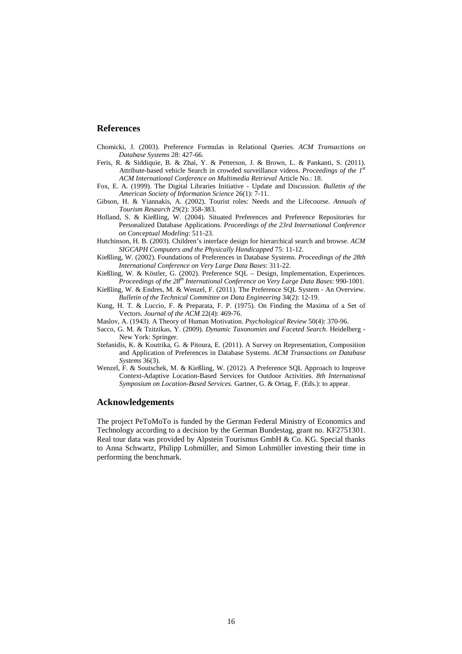## **References**

- Chomicki, J. (2003). Preference Formulas in Relational Queries. *ACM Transactions on Database Systems* 28: 427-66.
- Feris, R. & Siddiquie, B. & Zhai, Y. & Petterson, J. & Brown, L. & Pankanti, S. (2011). Attribute-based vehicle Search in crowded surveillance videos. *Proceedings of the 1st ACM International Conference on Multimedia Retrieval* Article No.: 18.
- Fox, E. A. (1999). The Digital Libraries Initiative Update and Discussion. *Bulletin of the American Society of Information Science* 26(1): 7-11.
- Gibson, H. & Yiannakis, A. (2002). Tourist roles: Needs and the Lifecourse. *Annuals of Tourism Research* 29(2): 358-383.
- Holland, S. & Kießling, W. (2004). Situated Preferences and Preference Repositories for Personalized Database Applications. *Proceedings of the 23rd International Conference on Conceptual Modeling*: 511-23.
- Hutchinson, H. B. (2003). Children's interface design for hierarchical search and browse. *ACM SIGCAPH Computers and the Physically Handicapped* 75: 11-12.
- Kießling, W. (2002). Foundations of Preferences in Database Systems. *Proceedings of the 28th International Conference on Very Large Data Bases*: 311-22.
- Kießling, W. & Köstler, G. (2002). Preference SQL Design, Implementation, Experiences. *Proceedings of the 28th International Conference on Very Large Data Bases*: 990-1001.
- Kießling, W. & Endres, M. & Wenzel, F. (2011). The Preference SQL System An Overview. *Bulletin of the Technical Committee on Data Engineering* 34(2): 12-19.
- Kung, H. T. & Luccio, F. & Preparata, F. P. (1975). On Finding the Maxima of a Set of Vectors. *Journal of the ACM* 22(4): 469-76.
- Maslov, A. (1943). A Theory of Human Motivation. *Psychological Review* 50(4): 370-96.
- Sacco, G. M. & Tzitzikas, Y. (2009). *Dynamic Taxonomies and Faceted Search*. Heidelberg New York: Springer.
- Stefanidis, K. & Koutrika, G. & Pitoura, E. (2011). A Survey on Representation, Composition and Application of Preferences in Database Systems. *ACM Transactions on Database Systems* 36(3).
- Wenzel, F. & Soutschek, M. & Kießling, W. (2012). A Preference SQL Approach to Improve Context-Adaptive Location-Based Services for Outdoor Activities. *8th International Symposium on Location-Based Services.* Gartner, G. & Ortag, F. (Eds.): to appear.

## **Acknowledgements**

The project PeToMoTo is funded by the German Federal Ministry of Economics and Technology according to a decision by the German Bundestag, grant no. KF2751301. Real tour data was provided by Alpstein Tourismus GmbH & Co. KG. Special thanks to Anna Schwartz, Philipp Lohmüller, and Simon Lohmüller investing their time in performing the benchmark.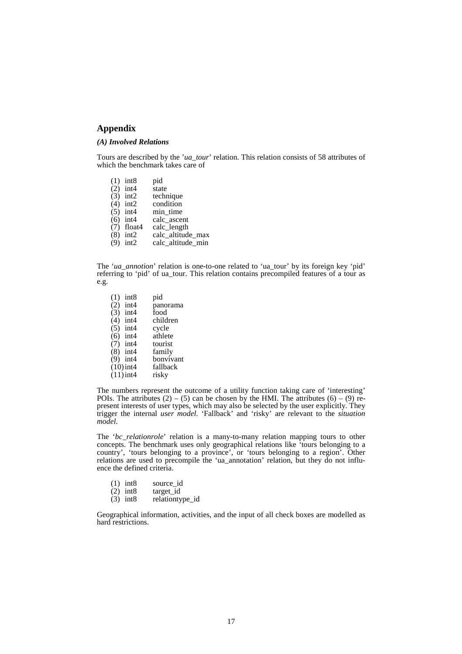## **Appendix**

## *(A) Involved Relations*

Tours are described by the '*ua\_tour*' relation. This relation consists of 58 attributes of which the benchmark takes care of

- (1) int8 pid<br>(2) int4 state
- (2) int4<br>(3) int2
- technique
- (4) int2 condition<br>(5) int4 min time
- (5) int4 min\_time<br>(6) int4 calc ascer
- (6) int4 calc\_ascent  $(7)$  float4 calc length
- (7) float calc\_length<br>(8) int2 calc altitude
- (8) int2 calc\_altitude\_max<br>(9) int2 calc altitude min
- $calc$ <sup> $I$ </sup>altitude $I$ min

The '*ua\_annotion*' relation is one-to-one related to 'ua\_tour' by its foreign key 'pid' referring to 'pid' of ua\_tour. This relation contains precompiled features of a tour as e.g.

(1) int8 pid<br>(2) int4 pan panorama<br>food  $\begin{pmatrix} 3 \\ 4 \end{pmatrix}$  int4 children (5) int4 cycle  $(6)$  int4 athlete (6) int4 athlete  $(7)$  int4 tourist  $(7)$  int4 tourist<br>(8) int4 family  $(8)$  int4 (9) int4 bonvivant  $(10)$  int4 fallback<br>(11) int4 risky  $(11)$ int4

The numbers represent the outcome of a utility function taking care of 'interesting' POIs. The attributes  $(2) - (5)$  can be chosen by the HMI. The attributes  $(6) - (9)$  represent interests of user types, which may also be selected by the user explicitly. They trigger the internal *user model*. 'Fallback' and 'risky' are relevant to the *situation model*.

The '*bc\_relationrole*' relation is a many-to-many relation mapping tours to other concepts. The benchmark uses only geographical relations like 'tours belonging to a country', 'tours belonging to a province', or 'tours belonging to a region'. Other relations are used to precompile the 'ua\_annotation' relation, but they do not influence the defined criteria.

- (1)  $int8$  source\_id <br>(2)  $int8$  target id
- (2) int8  $\arget_id$ <br>(3) int8 relationty
- relationtype id

Geographical information, activities, and the input of all check boxes are modelled as hard restrictions.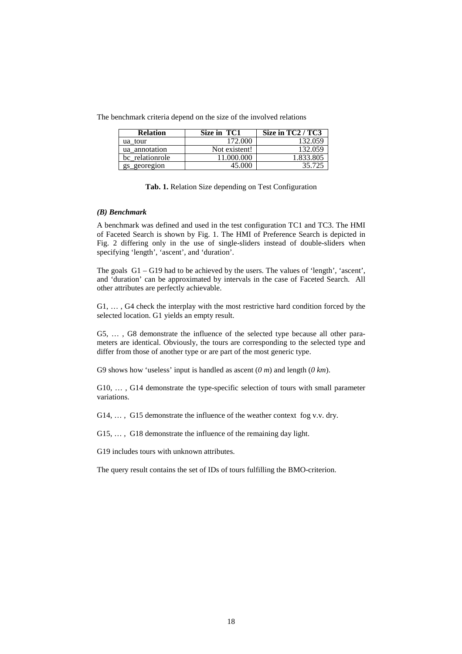The benchmark criteria depend on the size of the involved relations

| <b>Relation</b> | Size in TC1   | Size in $TC2 / \overline{TC3}$ |
|-----------------|---------------|--------------------------------|
| ua tour         | 172.000       | 132.059                        |
| ua annotation   | Not existent! | 132.059                        |
| bc relationrole | 11.000.000    | .833.805                       |
| gs_georegion    | IS 000        | 35.725                         |

|  |  |  |  | Tab. 1. Relation Size depending on Test Configuration |
|--|--|--|--|-------------------------------------------------------|
|  |  |  |  |                                                       |

## *(B) Benchmark*

A benchmark was defined and used in the test configuration TC1 and TC3. The HMI of Faceted Search is shown by Fig. 1. The HMI of Preference Search is depicted in Fig. 2 differing only in the use of single-sliders instead of double-sliders when specifying 'length', 'ascent', and 'duration'.

The goals G1 – G19 had to be achieved by the users. The values of 'length', 'ascent', and 'duration' can be approximated by intervals in the case of Faceted Search. All other attributes are perfectly achievable.

G1, … , G4 check the interplay with the most restrictive hard condition forced by the selected location. G1 yields an empty result.

G5, … , G8 demonstrate the influence of the selected type because all other parameters are identical. Obviously, the tours are corresponding to the selected type and differ from those of another type or are part of the most generic type.

G9 shows how 'useless' input is handled as ascent (*0 m*) and length (*0 km*).

G10, … , G14 demonstrate the type-specific selection of tours with small parameter variations.

G14, ..., G15 demonstrate the influence of the weather context fog v.v. dry.

G15, … , G18 demonstrate the influence of the remaining day light.

G19 includes tours with unknown attributes.

The query result contains the set of IDs of tours fulfilling the BMO-criterion.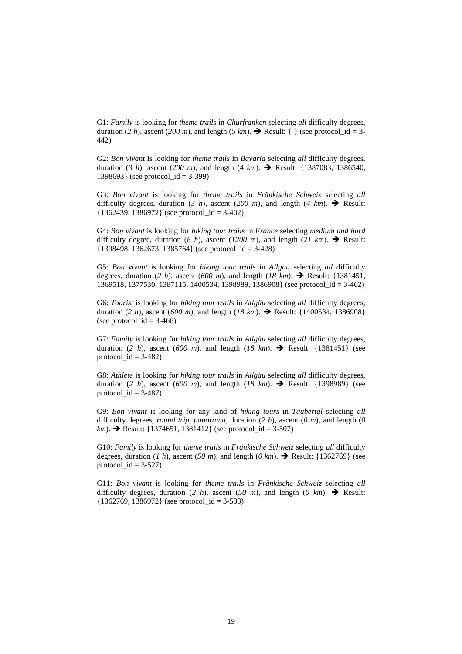G1: *Family* is looking for *theme trails* in *Churfranken* selecting *all* difficulty degrees, duration (2 h), ascent (200 m), and length (5 km).  $\rightarrow$  Result: { } (see protocol\_id = 3-442)

G2: *Bon vivant* is looking for *theme trails* in *Bavaria* selecting *all* difficulty degrees, duration (*3 h*), ascent (*200 m*), and length (*4 km*). Result: {1387083, 1386540, 1398693} (see protocol  $id = 3-399$ )

G3: *Bon vivant* is looking for *theme trails* in *Fränkische Schweiz* selecting *all* difficulty degrees, duration (3 h), ascent (200 m), and length (4 km).  $\rightarrow$  Result:  ${1362439, 1386972}$  (see protocol\_id = 3-402)

G4: *Bon vivant* is looking for *hiking tour trails* in *France* selecting *medium and hard* difficulty degree, duration (*8 h*), ascent (*1200 m*), and length (*21 km*).  $\rightarrow$  Result:  ${1398498, 1362673, 1385764}$  (see protocol id = 3-428)

G5: *Bon vivant* is looking for *hiking tour trails* in *Allgäu* selecting *all* difficulty degrees, duration (2 h), ascent (600 m), and length (18 km).  $\rightarrow$  Result: {1381451, 1369518, 1377530, 1387115, 1400534, 1398989, 1386908} (see protocol\_id = 3-462)

G6: *Tourist* is looking for *hiking tour trails* in *Allgäu* selecting *all* difficulty degrees, duration (*2 h*), ascent (*600 m*), and length (*18 km*). Result: {1400534, 1386908} (see protocol  $id = 3-466$ )

G7: *Family* is looking for *hiking tour trails* in *Allgäu* selecting *all* difficulty degrees, duration (2 h), ascent (600 m), and length ( $18 \ km$ ).  $\rightarrow$  Result: {1381451} (see protocol  $id = 3-482$ 

G8: *Athlete* is looking for *hiking tour trails* in *Allgäu* selecting *all* difficulty degrees, duration (2 h), ascent (600 m), and length ( $18 \ km$ ).  $\rightarrow$  Result: {1398989} (see protocol\_ $id = 3-487$ )

G9: *Bon vivant* is looking for any kind of *hiking tours* in *Taubertal* selecting *all* difficulty degrees, *round trip*, *panorama*, duration (*2 h*), ascent (*0 m*), and length (*0 km*).  $\rightarrow$  Result: {1374651, 1381412} (see protocol\_id = 3-507)

G10: *Family* is looking for *theme trails* in *Fränkische Schweiz* selecting *all* difficulty degrees, duration (*1 h*), ascent (*50 m*), and length (*0 km*).  $\rightarrow$  Result: {1362769} (see protocol\_ $id = 3-527$ )

G11: *Bon vivant* is looking for *theme trails* in *Fränkische Schweiz* selecting *all* difficulty degrees, duration (2 h), ascent (*50 m*), and length (*0 km*).  $\rightarrow$  Result:  ${1362769, 1386972}$  (see protocol id = 3-533)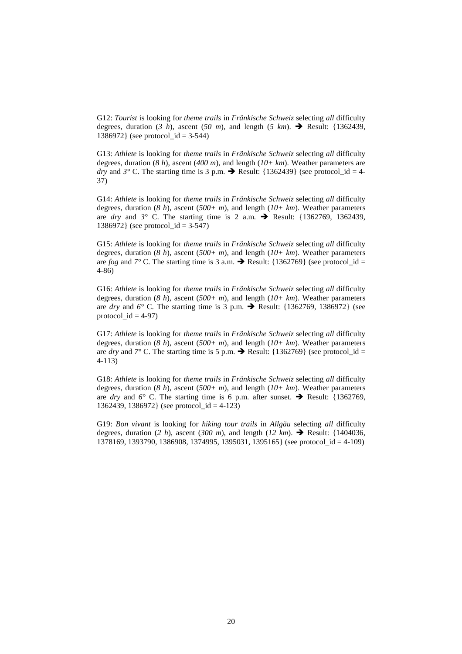G12: *Tourist* is looking for *theme trails* in *Fränkische Schweiz* selecting *all* difficulty degrees, duration  $(3 \; h)$ , ascent  $(50 \; m)$ , and length  $(5 \; km)$ .  $\rightarrow$  Result: {1362439}. 1386972} (see protocol  $id = 3-544$ )

G13: *Athlete* is looking for *theme trails* in *Fränkische Schweiz* selecting *all* difficulty degrees, duration (*8 h*), ascent (*400 m*), and length (*10+ km*). Weather parameters are *dry* and  $3^\circ$  C. The starting time is 3 p.m.  $\rightarrow$  Result: {1362439} (see protocol id = 4-37)

G14: *Athlete* is looking for *theme trails* in *Fränkische Schweiz* selecting *all* difficulty degrees, duration (*8 h*), ascent (*500+ m*), and length (*10+ km*). Weather parameters are *dry* and  $3^\circ$  C. The starting time is 2 a.m.  $\rightarrow$  Result: {1362769, 1362439, 1386972} (see protocol\_id = 3-547)

G15: *Athlete* is looking for *theme trails* in *Fränkische Schweiz* selecting *all* difficulty degrees, duration (*8 h*), ascent (*500+ m*), and length (*10+ km*). Weather parameters are *fog* and  $7^{\circ}$  C. The starting time is 3 a.m.  $\rightarrow$  Result: {1362769} (see protocol id = 4-86)

G16: *Athlete* is looking for *theme trails* in *Fränkische Schweiz* selecting *all* difficulty degrees, duration (*8 h*), ascent (*500+ m*), and length (*10+ km*). Weather parameters are *dry* and  $6^\circ$  C. The starting time is 3 p.m.  $\rightarrow$  Result: {1362769, 1386972} (see protocol  $id = 4-97$ )

G17: *Athlete* is looking for *theme trails* in *Fränkische Schweiz* selecting *all* difficulty degrees, duration (*8 h*), ascent (*500+ m*), and length (*10+ km*). Weather parameters are *dry* and  $7^{\circ}$  C. The starting time is 5 p.m.  $\rightarrow$  Result: {1362769} (see protocol\_id = 4-113)

G18: *Athlete* is looking for *theme trails* in *Fränkische Schweiz* selecting *all* difficulty degrees, duration (*8 h*), ascent (*500+ m*), and length (*10+ km*). Weather parameters are *dry* and  $6^{\circ}$  C. The starting time is 6 p.m. after sunset.  $\rightarrow$  Result: {1362769, 1362439, 1386972} (see protocol  $id = 4-123$ )

G19: *Bon vivant* is looking for *hiking tour trails* in *Allgäu* selecting *all* difficulty degrees, duration (2 h), ascent (300 m), and length (12 km).  $\rightarrow$  Result: {1404036, 1378169, 1393790, 1386908, 1374995, 1395031, 1395165} (see protocol\_id = 4-109)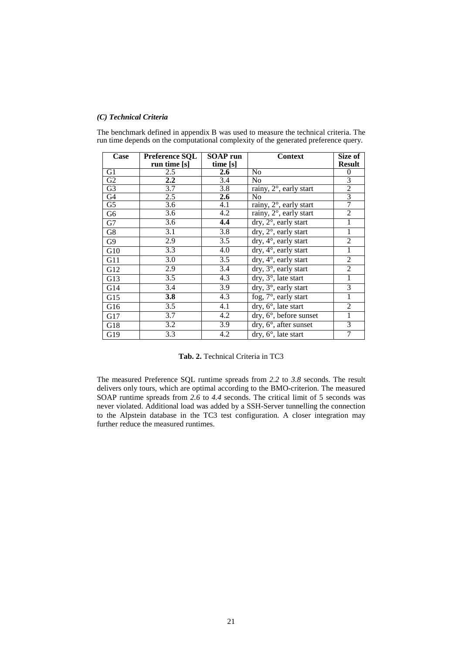## *(C) Technical Criteria*

The benchmark defined in appendix B was used to measure the technical criteria. The run time depends on the computational complexity of the generated preference query.

| Case           | <b>Preference SQL</b> | SOAP run         | <b>Context</b>                                          | Size of        |
|----------------|-----------------------|------------------|---------------------------------------------------------|----------------|
|                | run time [s]          | time [s]         |                                                         | <b>Result</b>  |
| G1             | 2.5                   | 2.6              | No                                                      | $\theta$       |
| G2             | $2.2\phantom{0}$      | 3.4              | No                                                      | 3              |
| G <sub>3</sub> | $\overline{3.7}$      | $\overline{3.8}$ | rainy, $2^\circ$ , early start                          | $rac{2}{3}$    |
| G4             | 2.5                   | 2.6              | No                                                      |                |
| G5             | 3.6                   | 4.1              | rainy, 2°, early start                                  | 7              |
| G6             | 3.6                   | 4.2              | rainy, 2°, early start                                  | $\overline{2}$ |
| G7             | 3.6                   | 4.4              | $\text{dry}, 2^{\circ}, \text{early start}$             | 1              |
| G8             | $\overline{3.1}$      | 3.8              | $dry, 2^{\circ}$ , early start                          | 1              |
| G9             | 2.9                   | $\overline{3.5}$ | $dry, 4^\circ,$ early start                             | $\overline{2}$ |
| G10            | 3.3                   | 4.0              | dry, 4°, early start                                    | 1              |
| G11            | 3.0                   | $\overline{3.5}$ | dry, 4°, early start                                    | $\overline{2}$ |
| G12            | 2.9                   | 3.4              | dry, 3°, early start                                    | $\overline{2}$ |
| G13            | $\overline{3.5}$      | $\overline{4.3}$ | $\overline{dry, 3^{\circ}}$ , late start                | 1              |
| G14            | $\overline{3.4}$      | $\overline{3.9}$ | dry, 3°, early start                                    | 3              |
| G15            | 3.8                   | 4.3              | fog, $7^\circ$ , early start                            | 1              |
| G16            | 3.5                   | 4.1              | $\text{dry}, 6^{\circ}, \text{late start}$              | $\overline{2}$ |
| G17            | $\overline{3.7}$      | 4.2              | $\overline{dry}$ , $\overline{6}^\circ$ , before sunset | 1              |
| G18            | 3.2                   | 3.9              | $\text{dry}, 6^{\circ}, \text{after sunset}$            | $\overline{3}$ |
| G19            | 3.3                   | 4.2              | $\text{dry}, 6^{\circ}, \text{late start}$              | 7              |

**Tab. 2.** Technical Criteria in TC3

The measured Preference SQL runtime spreads from *2.2* to *3.8* seconds. The result delivers only tours, which are optimal according to the BMO-criterion. The measured SOAP runtime spreads from *2.6* to *4.4* seconds. The critical limit of 5 seconds was never violated. Additional load was added by a SSH-Server tunnelling the connection to the Alpstein database in the TC3 test configuration. A closer integration may further reduce the measured runtimes.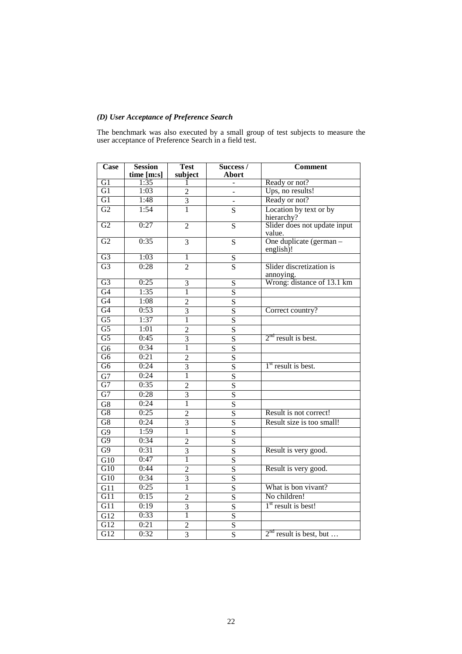## *(D) User Acceptance of Preference Search*

The benchmark was also executed by a small group of test subjects to measure the user acceptance of Preference Search in a field test.

| Case             | <b>Session</b><br>time [m:s] | <b>Test</b><br>subject  | Success /<br>Abort      | <b>Comment</b>                                       |
|------------------|------------------------------|-------------------------|-------------------------|------------------------------------------------------|
| G1               | 1:35                         |                         |                         | Ready or not?                                        |
| G1               | 1:03                         | $\overline{2}$          |                         | Ups, no results!                                     |
| G1               | 1:48                         | $\overline{3}$          |                         | Ready or not?                                        |
| G2               | 1:54                         | $\overline{1}$          | $\overline{S}$          | Location by text or by                               |
| G2               | 0:27                         | $\overline{2}$          | $\overline{S}$          | hierarchy?<br>Slider does not update input<br>value. |
| G2               | 0:35                         | $\overline{3}$          | $\overline{S}$          | One duplicate (german -<br>english)!                 |
| G <sub>3</sub>   | 1:03                         | $\overline{1}$          | $rac{S}{S}$             |                                                      |
| G <sub>3</sub>   | 0:28                         | $\overline{2}$          |                         | Slider discretization is<br>annoying.                |
| G <sub>3</sub>   | 0:25                         | 3                       | S                       | Wrong: distance of 13.1 km                           |
| G <sub>4</sub>   | 1:35                         | $\overline{1}$          | $\overline{\mathbf{S}}$ |                                                      |
| G4               | 1:08                         | $\overline{2}$          | $\overline{S}$          |                                                      |
| G4               | 0:53                         | $\overline{3}$          | $\overline{S}$          | Correct country?                                     |
| G5               | 1:37                         | $\overline{1}$          | $\overline{S}$          |                                                      |
| $\overline{G5}$  | 1:01                         | $\overline{2}$          | $\overline{\mathbf{S}}$ |                                                      |
| G5               | 0:45                         | $\overline{3}$          | $\overline{\mathbf{S}}$ | $2nd$ result is best.                                |
| $\overline{G6}$  | 0:34                         | 1                       | $\overline{\mathbf{S}}$ |                                                      |
| G <sub>6</sub>   | 0:21                         | $\overline{2}$          | $\overline{\mathbf{S}}$ |                                                      |
| G <sub>6</sub>   | 0:24                         | $\overline{3}$          | $\overline{\mathbf{S}}$ | $1st$ result is best.                                |
| G7               | 0:24                         | 1                       | $\overline{\mathbf{S}}$ |                                                      |
| G7               | 0:35                         | $\overline{2}$          | $\overline{S}$          |                                                      |
| G7               | 0:28                         | 3                       | S                       |                                                      |
| G8               | 0:24                         | $\overline{1}$          | $\overline{S}$          |                                                      |
| G8               | 0:25                         | $\overline{2}$          | $\overline{\mathbf{S}}$ | Result is not correct!                               |
| G8               | 0:24                         | $\overline{3}$          | $\overline{\mathbf{S}}$ | Result size is too small!                            |
| G9               | 1:59                         | $\overline{1}$          | $\overline{\mathbf{S}}$ |                                                      |
| G9               | 0:34                         | $\overline{2}$          | $\overline{\mathbf{S}}$ |                                                      |
| G9               | 0:31                         | $\overline{3}$          | $\overline{S}$          | Result is very good.                                 |
| $\overline{G10}$ | 0:47                         | 1                       | $\overline{\mathbf{S}}$ |                                                      |
| G10              | 0:44                         | $\overline{c}$          | $\overline{\mathbf{S}}$ | Result is very good.                                 |
| G10              | 0:34                         | $\overline{3}$          | $\overline{S}$          |                                                      |
| G11              | 0:25                         | Ī                       | $\overline{\mathbf{S}}$ | What is bon vivant?                                  |
| G11              | 0:15                         | $\overline{2}$          | $\overline{S}$          | No children!                                         |
| $\overline{G11}$ | 0:19                         | 3                       | $\overline{\mathbf{S}}$ | $1st$ result is best!                                |
| G12              | 0:33                         | $\mathbf{1}$            | S                       |                                                      |
| G12              | 0:21                         | $\overline{\mathbf{c}}$ | $\overline{\mathbf{S}}$ |                                                      |
| G12              | 0:32                         | $\overline{3}$          | $\overline{\mathbf{S}}$ | $2nd$ result is best, but                            |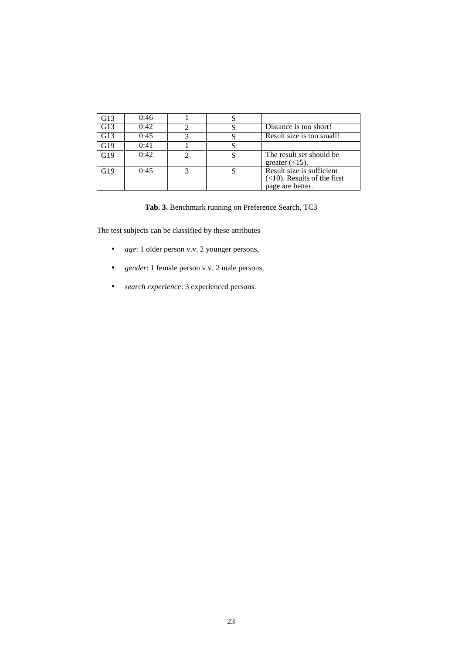| G13 | 0:46 |  |                                                                                 |
|-----|------|--|---------------------------------------------------------------------------------|
| G13 | 0:42 |  | Distance is too short!                                                          |
| G13 | 0:45 |  | Result size is too small!                                                       |
| G19 | 0:41 |  |                                                                                 |
| G19 | 0:42 |  | The result set should be<br>greater $(<15)$ .                                   |
| G19 | 0:45 |  | Result size is sufficient<br>$(<10)$ . Results of the first<br>page are better. |

**Tab. 3.** Benchmark running on Preference Search, TC3

The test subjects can be classified by these attributes

- *age*: 1 older person v.v. 2 younger persons,
- *gender*: 1 female person v.v. 2 male persons,
- *search experience*: 3 experienced persons.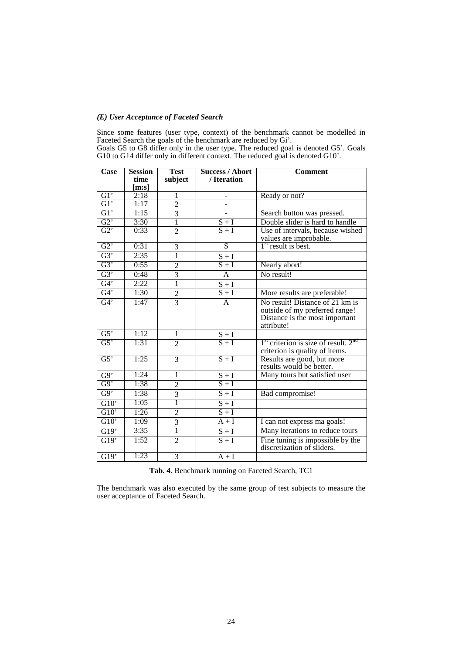## *(E) User Acceptance of Faceted Search*

Since some features (user type, context) of the benchmark cannot be modelled in Faceted Search the goals of the benchmark are reduced by Gi'.

Goals G5 to G8 differ only in the user type. The reduced goal is denoted G5'. Goals G10 to G14 differ only in different context. The reduced goal is denoted G10'.

| Case                    | <b>Session</b> | <b>Test</b>    | <b>Success / Abort</b>  | <b>Comment</b>                                                                                                    |
|-------------------------|----------------|----------------|-------------------------|-------------------------------------------------------------------------------------------------------------------|
|                         | time           | subject        | / Iteration             |                                                                                                                   |
| GI'                     | [m:s]<br>2:18  | 1              |                         | Ready or not?                                                                                                     |
| G1'                     | 1:17           | $\overline{2}$ |                         |                                                                                                                   |
| G1'                     | 1:15           | $\overline{3}$ |                         |                                                                                                                   |
|                         |                | $\overline{1}$ |                         | Search button was pressed.                                                                                        |
| $G2$ <sup>'</sup><br>G2 | 3:30<br>0:33   |                | $\frac{S+I}{S+I}$       | Double slider is hard to handle                                                                                   |
|                         |                | $\overline{2}$ |                         | Use of intervals, because wished<br>values are improbable.                                                        |
| G2                      | 0:31           | 3              | $\overline{S}$          | $1st$ result is best.                                                                                             |
| G3'                     | 2:35           | ī              | $\frac{S+I}{S+I}$       |                                                                                                                   |
| G3'                     | 0:55           | $\overline{c}$ |                         | Nearly abort!                                                                                                     |
| G3'                     | 0:48           | $\overline{3}$ | $\mathbf{A}$            | No result!                                                                                                        |
| G4'                     | 2:22           | $\overline{1}$ | $S + I$                 |                                                                                                                   |
| G4'                     | 1:30           | $rac{2}{3}$    | $S+I$                   | More results are preferable!                                                                                      |
| G4'                     | 1:47           |                | $\overline{A}$          | No result! Distance of 21 km is<br>outside of my preferred range!<br>Distance is the most important<br>attribute! |
| G5'                     | 1:12           | $\mathbf{1}$   | ${\bf S}+{\bf I}$       |                                                                                                                   |
| G5'                     | 1:31           | $\overline{2}$ | $S+I$                   | $1st$ criterion is size of result. $2nd$<br>criterion is quality of items.                                        |
| G5'                     | 1:25           | $\overline{3}$ | $S+I$                   | Results are good, but more<br>results would be better.                                                            |
| $\overline{G9'}$        | 1:24           | 1              | $\mathbf{S}+\mathbf{I}$ | Many tours but satisfied user                                                                                     |
| $G_9$                   | 1:38           | $\overline{2}$ | $S + I$                 |                                                                                                                   |
| $G_9$                   | 1:38           | $\overline{3}$ | $S + I$                 | Bad compromise!                                                                                                   |
| G10'                    | 1:05           | $\overline{1}$ | $\frac{S+I}{S+I}$       |                                                                                                                   |
| G10'                    | 1:26           | $\overline{2}$ |                         |                                                                                                                   |
| G10'                    | 1:09           | $\overline{3}$ | $A + I$                 | I can not express ma goals!                                                                                       |
| G19'                    | 3:35           | $\overline{1}$ | $\mathbf{S}+\mathbf{I}$ | Many iterations to reduce tours                                                                                   |
| G19'                    | 1:52           | $\overline{2}$ | $\overline{S+I}$        | Fine tuning is impossible by the<br>discretization of sliders.                                                    |
| $\overline{G19'}$       | 1:23           | $\overline{3}$ | $A + I$                 |                                                                                                                   |

**Tab. 4.** Benchmark running on Faceted Search, TC1

The benchmark was also executed by the same group of test subjects to measure the user acceptance of Faceted Search.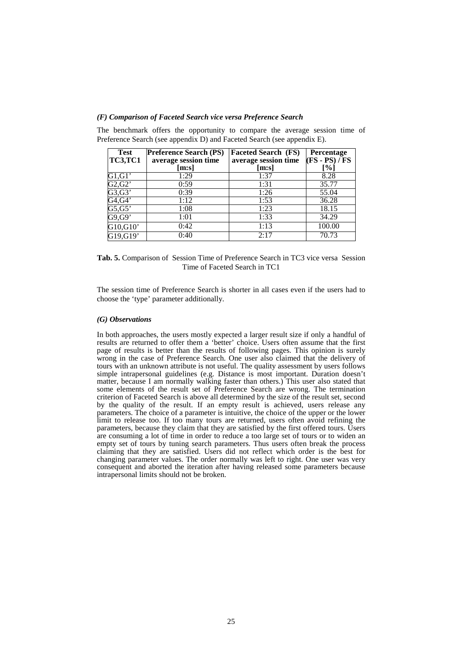#### *(F) Comparison of Faceted Search vice versa Preference Search*

| <b>Test</b><br><b>TC3,TC1</b> | <b>Preference Search (PS)</b><br>average session time | <b>Faceted Search (FS)</b><br>average session time | Percentage<br>$(FS - PS) / FS$ |
|-------------------------------|-------------------------------------------------------|----------------------------------------------------|--------------------------------|
|                               | [m:s]                                                 | [m:s]                                              | [%]                            |
| G1, G1'                       | 1:29                                                  | 1:37                                               | 8.28                           |
| G2, G2'                       | 0:59                                                  | 1:31                                               | 35.77                          |
| G3,G3'                        | 0:39                                                  | 1:26                                               | 55.04                          |
| $G4,\overline{G4'}$           | 1:12                                                  | 1:53                                               | 36.28                          |
| G5, G5'                       | 1:08                                                  | 1:23                                               | 18.15                          |
| G9,G9'                        | 1:01                                                  | 1:33                                               | 34.29                          |
| G10,G10'                      | 0:42                                                  | 1:13                                               | 100.00                         |
| G19,G19'                      | 0:40                                                  | 2:17                                               | 70.73                          |

The benchmark offers the opportunity to compare the average session time of Preference Search (see appendix D) and Faceted Search (see appendix E).

**Tab. 5.** Comparison of Session Time of Preference Search in TC3 vice versa Session Time of Faceted Search in TC1

The session time of Preference Search is shorter in all cases even if the users had to choose the 'type' parameter additionally.

#### *(G) Observations*

In both approaches, the users mostly expected a larger result size if only a handful of results are returned to offer them a 'better' choice. Users often assume that the first page of results is better than the results of following pages. This opinion is surely wrong in the case of Preference Search. One user also claimed that the delivery of tours with an unknown attribute is not useful. The quality assessment by users follows simple intrapersonal guidelines (e.g. Distance is most important. Duration doesn't matter, because I am normally walking faster than others.) This user also stated that some elements of the result set of Preference Search are wrong. The termination criterion of Faceted Search is above all determined by the size of the result set, second by the quality of the result. If an empty result is achieved, users release any parameters. The choice of a parameter is intuitive, the choice of the upper or the lower limit to release too. If too many tours are returned, users often avoid refining the parameters, because they claim that they are satisfied by the first offered tours. Users are consuming a lot of time in order to reduce a too large set of tours or to widen an empty set of tours by tuning search parameters. Thus users often break the process claiming that they are satisfied. Users did not reflect which order is the best for changing parameter values. The order normally was left to right. One user was very consequent and aborted the iteration after having released some parameters because intrapersonal limits should not be broken.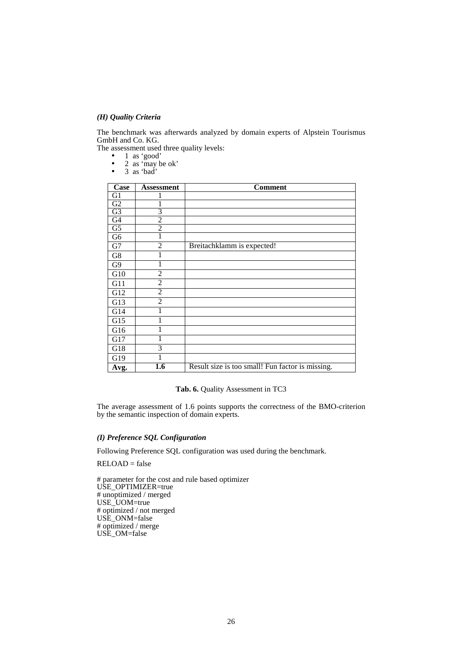## *(H) Quality Criteria*

The benchmark was afterwards analyzed by domain experts of Alpstein Tourismus GmbH and Co. KG.

The assessment used three quality levels:

• 1 as 'good'

- 2 as 'may be ok'
- 3 as 'bad'

| Case            | <b>Assessment</b> | <b>Comment</b>                                   |
|-----------------|-------------------|--------------------------------------------------|
| G1              |                   |                                                  |
| $\overline{G2}$ |                   |                                                  |
| G <sub>3</sub>  | 3                 |                                                  |
| $\overline{G4}$ | $\overline{2}$    |                                                  |
| G <sub>5</sub>  | $\overline{2}$    |                                                  |
| G6              | 1                 |                                                  |
| G7              | $\overline{2}$    | Breitachklamm is expected!                       |
| G8              |                   |                                                  |
| G <sub>9</sub>  |                   |                                                  |
| G10             | 2                 |                                                  |
| G11             | $\overline{2}$    |                                                  |
| G12             | $\overline{2}$    |                                                  |
| G13             | $\overline{2}$    |                                                  |
| G14             |                   |                                                  |
| G15             |                   |                                                  |
| G16             |                   |                                                  |
| G17             |                   |                                                  |
| G18             | 3                 |                                                  |
| G19             |                   |                                                  |
| Avg.            | 1.6               | Result size is too small! Fun factor is missing. |

## **Tab. 6.** Quality Assessment in TC3

The average assessment of 1.6 points supports the correctness of the BMO-criterion by the semantic inspection of domain experts.

## *(I) Preference SQL Configuration*

Following Preference SQL configuration was used during the benchmark.

 $RELOAD = false$ 

# parameter for the cost and rule based optimizer USE\_OPTIMIZER=true # unoptimized / merged USE\_UOM=true # optimized / not merged USE\_ONM=false # optimized / merge USE\_OM=false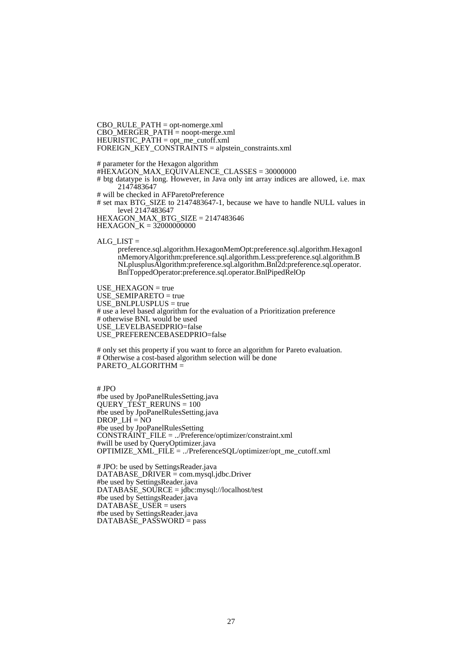CBO\_RULE\_PATH = opt-nomerge.xml CBO\_MERGER\_PATH = noopt-merge.xml HEURISTIC\_PATH = opt\_me\_cutoff.xml FOREIGN\_KEY\_CONSTRAINTS = alpstein\_constraints.xml

# parameter for the Hexagon algorithm #HEXAGON\_MAX\_EQUIVALENCE\_CLASSES = 30000000 # btg datatype is long. However, in Java only int array indices are allowed, i.e. max 2147483647 # will be checked in AFParetoPreference

# set max BTG\_SIZE to 2147483647-1, because we have to handle NULL values in level 2147483647

HEXAGON\_MAX\_BTG\_SIZE = 2147483646

HEXAGON\_K = 32000000000

ALG  $LIST =$ 

preference.sql.algorithm.HexagonMemOpt:preference.sql.algorithm.HexagonI nMemoryAlgorithm:preference.sql.algorithm.Less:preference.sql.algorithm.B NLplusplusAlgorithm:preference.sql.algorithm.Bnl2d:preference.sql.operator. BnlToppedOperator:preference.sql.operator.BnlPipedRelOp

USE\_HEXAGON = true USE\_SEMIPARETO = true USE\_BNLPLUSPLUS = true # use a level based algorithm for the evaluation of a Prioritization preference # otherwise BNL would be used USE\_LEVELBASEDPRIO=false USE\_PREFERENCEBASEDPRIO=false

# only set this property if you want to force an algorithm for Pareto evaluation. # Otherwise a cost-based algorithm selection will be done PARETO\_ALGORITHM =

 $#$  IPO #be used by JpoPanelRulesSetting.java QUERY\_TEST\_RERUNS = 100 #be used by JpoPanelRulesSetting.java  $DROP$ <sub>\_</sub>LH = NO #be used by JpoPanelRulesSetting CONSTRAINT\_FILE = ../Preference/optimizer/constraint.xml #will be used by QueryOptimizer.java OPTIMIZE\_XML\_FILE = ../PreferenceSQL/optimizer/opt\_me\_cutoff.xml

# JPO: be used by SettingsReader.java DATABASE\_DRIVER = com.mysql.jdbc.Driver #be used by SettingsReader.java DATABASE\_SOURCE = jdbc:mysql://localhost/test #be used by SettingsReader.java  $DATABASE$  USER = users #be used by SettingsReader.java DATABASE\_PASSWORD = pass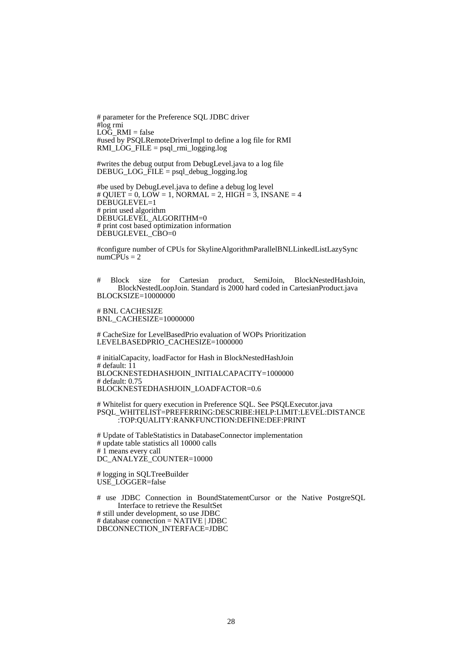# parameter for the Preference SQL JDBC driver #log rmi  $LO\bar{G}$  RMI = false #used by PSQLRemoteDriverImpl to define a log file for RMI  $RMI\_LOG\_FILE = psql\_rmi\_logging.log$ 

#writes the debug output from DebugLevel.java to a log file DEBUG\_LOG\_FILE = psql\_debug\_logging.log

#be used by DebugLevel.java to define a debug log level  $\#$  QUIET = 0, LOW = 1, NORMAL = 2, HIGH = 3, INSANE = 4 DEBUGLEVEL=1 # print used algorithm DEBUGLEVEL ALGORITHM=0 # print cost based optimization information DEBUGLEVEL\_CBO=0

#configure number of CPUs for SkylineAlgorithmParallelBNLLinkedListLazySync  $numCPUs = 2$ 

# Block size for Cartesian product, SemiJoin, BlockNestedHashJoin, BlockNestedLoopJoin. Standard is 2000 hard coded in CartesianProduct.java BLOCKSIZE=10000000

# BNL CACHESIZE BNL\_CACHESIZE=10000000

# CacheSize for LevelBasedPrio evaluation of WOPs Prioritization LEVELBASEDPRIO\_CACHESIZE=1000000

# initialCapacity, loadFactor for Hash in BlockNestedHashJoin # default: 11 BLOCKNESTEDHASHJOIN\_INITIALCAPACITY=1000000 # default: 0.75 BLOCKNESTEDHASHJOIN\_LOADFACTOR=0.6

# Whitelist for query execution in Preference SQL. See PSQLExecutor.java PSQL\_WHITELIST=PREFERRING:DESCRIBE:HELP:LIMIT:LEVEL:DISTANCE :TOP:QUALITY:RANKFUNCTION:DEFINE:DEF:PRINT

# Update of TableStatistics in DatabaseConnector implementation # update table statistics all 10000 calls # 1 means every call DC\_ANALYZE\_COUNTER=10000

# logging in SQLTreeBuilder USE LOGGER=false

# use JDBC Connection in BoundStatementCursor or the Native PostgreSQL Interface to retrieve the ResultSet # still under development, so use JDBC # database connection = NATIVE | JDBC DBCONNECTION\_INTERFACE=JDBC